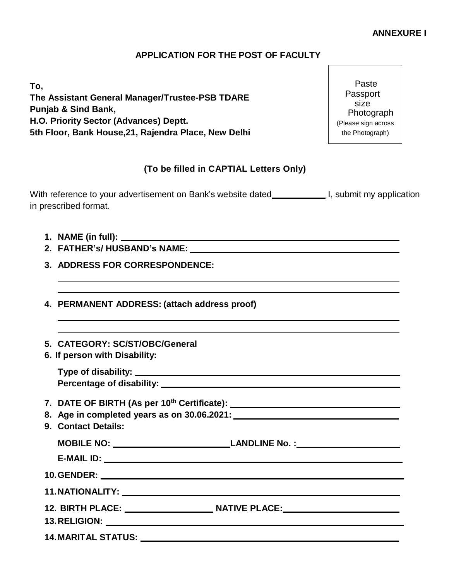## **ANNEXURE I**

## **APPLICATION FOR THE POST OF FACULTY**

**To, The Assistant General Manager/Trustee-PSB TDARE Punjab & Sind Bank, H.O. Priority Sector (Advances) Deptt. 5th Floor, Bank House,21, Rajendra Place, New Delhi**

**(To be filled in CAPTIAL Letters Only)**

With reference to your advertisement on Bank's website dated\_\_\_\_\_\_\_\_\_\_\_\_\_\_\_\_\_\_\_\_\_ I, submit my application in prescribed format.

- **1. NAME (in full):**
- **2. FATHER's/ HUSBAND's NAME:**
- **3. ADDRESS FOR CORRESPONDENCE:**
- **4. PERMANENT ADDRESS: (attach address proof)**
- **5. CATEGORY: SC/ST/OBC/General**
- **6. If person with Disability:**

| 7.   DATE OF BIRTH (As per 10 <sup>th</sup> Certificate): _________________________________ |  |  |  |  |
|---------------------------------------------------------------------------------------------|--|--|--|--|
| 9. Contact Details:                                                                         |  |  |  |  |
|                                                                                             |  |  |  |  |
|                                                                                             |  |  |  |  |
|                                                                                             |  |  |  |  |
|                                                                                             |  |  |  |  |

12. BIRTH PLACE: NATIVE PLACE: NATIVE PLACE: NATIVE

**13.RELIGION:**

**14.MARITAL STATUS:**